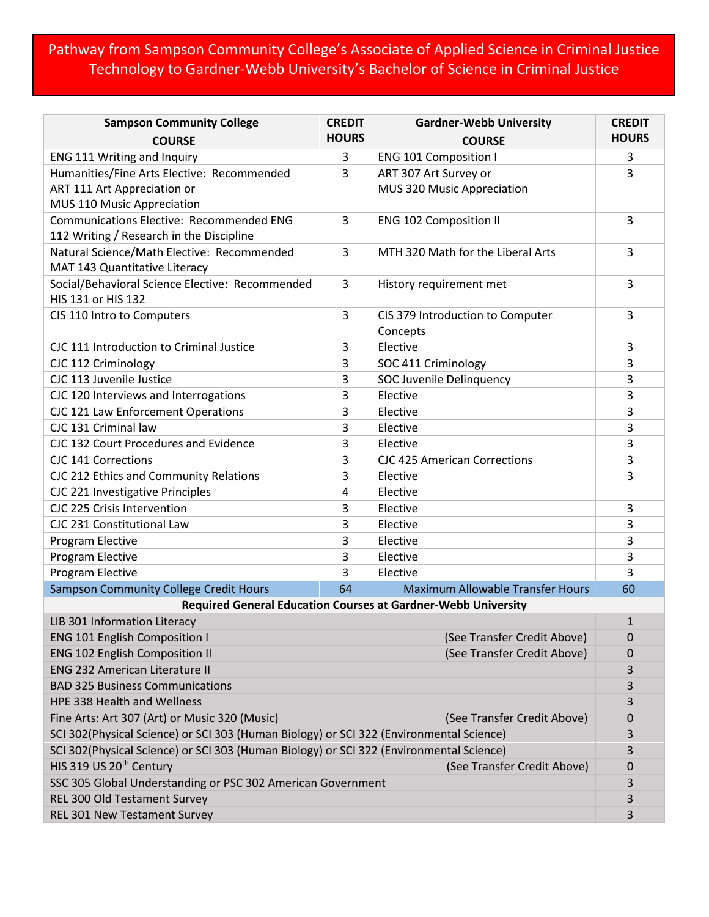## Pathway from Sampson Community College's Associate of Applied Science in Criminal Justice Technology to Gardner-Webb University's Bachelor of Science in Criminal Justice

| <b>Sampson Community College</b>                                                        | <b>CREDIT</b> | <b>Gardner-Webb University</b>          | <b>CREDIT</b> |  |
|-----------------------------------------------------------------------------------------|---------------|-----------------------------------------|---------------|--|
| <b>COURSE</b>                                                                           | <b>HOURS</b>  | <b>COURSE</b>                           | <b>HOURS</b>  |  |
| ENG 111 Writing and Inquiry                                                             | 3             | <b>ENG 101 Composition I</b>            | 3             |  |
| Humanities/Fine Arts Elective: Recommended                                              | 3             | ART 307 Art Survey or                   | 3             |  |
| ART 111 Art Appreciation or                                                             |               | MUS 320 Music Appreciation              |               |  |
| MUS 110 Music Appreciation                                                              |               |                                         |               |  |
| <b>Communications Elective: Recommended ENG</b>                                         | 3             | <b>ENG 102 Composition II</b>           | 3             |  |
| 112 Writing / Research in the Discipline                                                |               |                                         |               |  |
| Natural Science/Math Elective: Recommended                                              | 3             | MTH 320 Math for the Liberal Arts       | 3             |  |
| MAT 143 Quantitative Literacy                                                           |               |                                         |               |  |
| Social/Behavioral Science Elective: Recommended                                         | 3             | History requirement met                 | 3             |  |
| HIS 131 or HIS 132                                                                      |               |                                         |               |  |
| CIS 110 Intro to Computers                                                              | 3             | CIS 379 Introduction to Computer        | 3             |  |
|                                                                                         |               | Concepts                                |               |  |
| CJC 111 Introduction to Criminal Justice                                                | 3             | Elective                                | 3             |  |
| CJC 112 Criminology                                                                     | 3             | SOC 411 Criminology                     | 3             |  |
| CJC 113 Juvenile Justice                                                                | 3             | SOC Juvenile Delinquency                | 3             |  |
| CJC 120 Interviews and Interrogations                                                   | 3             | Elective                                | 3             |  |
| CJC 121 Law Enforcement Operations                                                      | 3             | Elective                                | 3             |  |
| CJC 131 Criminal law                                                                    | 3             | Elective                                | 3             |  |
| CJC 132 Court Procedures and Evidence                                                   | 3             | Elective                                | 3             |  |
| CJC 141 Corrections                                                                     | 3             | <b>CJC 425 American Corrections</b>     | 3             |  |
| CJC 212 Ethics and Community Relations                                                  | 3             | Elective                                | 3             |  |
| CJC 221 Investigative Principles                                                        | 4             | Elective                                |               |  |
| CJC 225 Crisis Intervention                                                             | 3             | Elective                                | 3             |  |
| CJC 231 Constitutional Law                                                              | 3             | Elective                                | 3             |  |
| Program Elective                                                                        | 3             | Elective                                | 3             |  |
| Program Elective                                                                        | 3             | Elective                                | 3             |  |
| Program Elective                                                                        | 3             | Elective                                | 3             |  |
| Sampson Community College Credit Hours                                                  | 64            | <b>Maximum Allowable Transfer Hours</b> | 60            |  |
| <b>Required General Education Courses at Gardner-Webb University</b>                    |               |                                         |               |  |
| LIB 301 Information Literacy                                                            |               |                                         | $\mathbf 1$   |  |
| <b>ENG 101 English Composition I</b><br>(See Transfer Credit Above)                     |               |                                         | 0             |  |
| <b>ENG 102 English Composition II</b><br>(See Transfer Credit Above)                    |               |                                         | 0             |  |
| <b>ENG 232 American Literature II</b>                                                   |               |                                         | 3             |  |
| <b>BAD 325 Business Communications</b>                                                  |               |                                         | 3             |  |
| <b>HPE 338 Health and Wellness</b>                                                      |               |                                         |               |  |
| Fine Arts: Art 307 (Art) or Music 320 (Music)<br>(See Transfer Credit Above)            |               |                                         | 0             |  |
| SCI 302(Physical Science) or SCI 303 (Human Biology) or SCI 322 (Environmental Science) |               |                                         |               |  |
| SCI 302(Physical Science) or SCI 303 (Human Biology) or SCI 322 (Environmental Science) |               |                                         |               |  |
| HIS 319 US 20 <sup>th</sup> Century<br>(See Transfer Credit Above)                      |               |                                         | 0             |  |
| SSC 305 Global Understanding or PSC 302 American Government                             |               |                                         | 3             |  |
| REL 300 Old Testament Survey                                                            |               |                                         | 3             |  |
| REL 301 New Testament Survey                                                            |               |                                         | 3             |  |